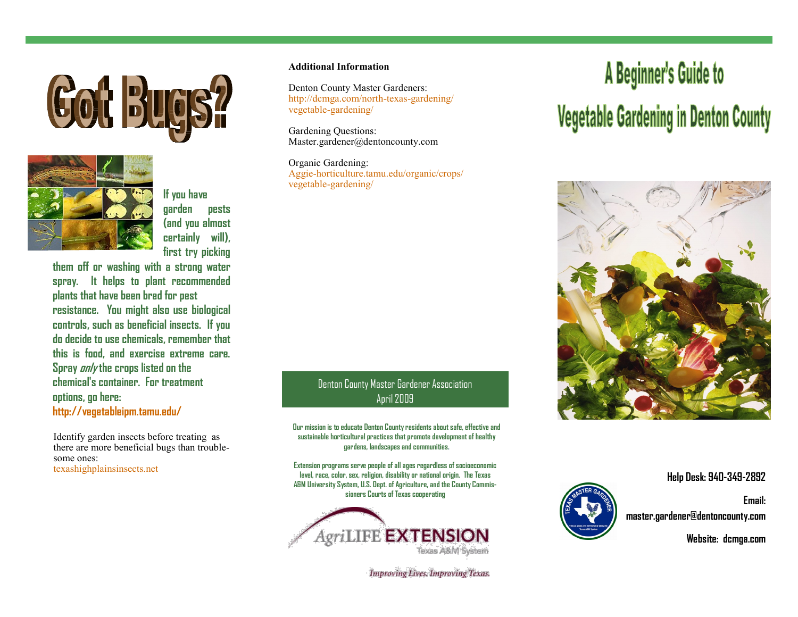



**If you have garden pests (and you almost certainly will), first try picking** 

**them off or washing with a strong water spray. It helps to plant recommended plants that have been bred for pest resistance. You might also use biological controls, such as beneficial insects. If you do decide to use chemicals, remember that this is food, and exercise extreme care. Spray only the crops listed on the chemical's container. For treatment options, go here: http://vegetableipm.tamu.edu/**

Identify garden insects before treating as there are more beneficial bugs than troublesome ones: [texashighplainsinsects.net](http://vegipm.tamu.edu/imageindex.html)

### **Additional Information**

Denton County Master Gardeners: http://dcmga.com/north-texas-gardening/ vegetable-gardening/

Gardening Questions: Master.gardener@dentoncounty.com

Organic Gardening: Aggie-horticulture.tamu.edu/organic/crops/ vegetable-gardening/

## Denton County Master Gardener Association April 2009

**Our mission is to educate Denton County residents about safe, effective and sustainable horticultural practices that promote development of healthy gardens, landscapes and communities.**

**Extension programs serve people of all ages regardless of socioeconomic level, race, color, sex, religion, disability or national origin. The Texas A&M University System, U.S. Dept. of Agriculture, and the County Commissioners Courts of Texas cooperating** 



**Improving Lives. Improving Texas.** 

# A Beginner's Guide to **Vegetable Gardening in Denton County**



**Help Desk: 940-349-2892**

**Email: master.gardener@dentoncounty.com**

**Website: dcmga.com**